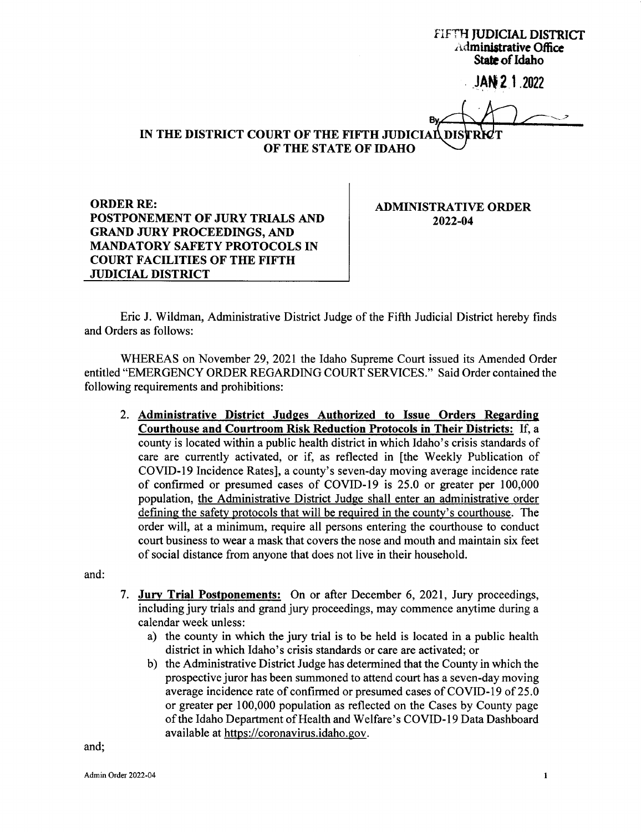FIFTH JUDICIAL DISTRICT Administrative Office State of Idaho

 $JAN 21 2022$ 

IN THE DISTRICT COURT OF THE FIFTH JUDICIAL DIS. OF THE STATE OF IDAHO

**ORDER RE:** POSTPONEMENT OF JURY TRIALS AND GRAND JURY PROCEEDINGS, AAID MANDATORY SAFETY PROTOCOLS IN COURT FACILITIES OF THE FIFTH

JUDICIAL DISTRICT

ADMINISTRATIVE ORDER 2022-04

Eric J. Wildman, Administrative District Judge of the Fifth Judicial District hereby finds and Orders as follows:

WHEREAS on November 29,2021 the Idaho Supreme Court issued its Amended Order entitled "EMERGENCY ORDER REGARDING COURT SERVICES." Said Order contained the following requirements and prohibitions:

2. Administrative District Judges Authorized to Issue Orders Regarding Courthouse and Courtroom Risk Reduction Protocols in Their Districts: If, a county is located within a public health district in which Idaho's crisis standards of care are currently activated, or if, as reflected in [the Weekly Publication of COVID-19 Incidence Rates], a county's seven-day moving average incidence rate of confirmed or presumed cases of COVID-I9 is 25.0 or greater per 100,000 population, the Administrative District Judge shall enter an administrative order defining the safetv protocols that will be required in the county's courthouse. The order will, at a minimum, require all persons entering the courthouse to conduct court business to wear a mask that covers the nose and mouth and maintain six feet of social distance from anyone that does not live in their household.

and:

- 7. Jury Trial Postponements: On or after December 6, 2021, Jury proceedings, including jury trials and grand jury proceedings, may commence anytime during <sup>a</sup> calendar week unless:
	- a) the county in which the jury trial is to be held is located in a public health district in which Idaho's crisis standards or care are activated; or
	- b) the Administrative District Judge has determined that the County in which the prospective juror has been summoned to attend court has a seven-day moving average incidence rate of confirmed or presumed cases of COVID-I9 of 25.0 or greater per 100,000 population as reflected on the Cases by County page of the Idaho Department of Health and Welfare's COVID-l9DataDashboard available at https ://coronavirus. idaho. gov.

and;